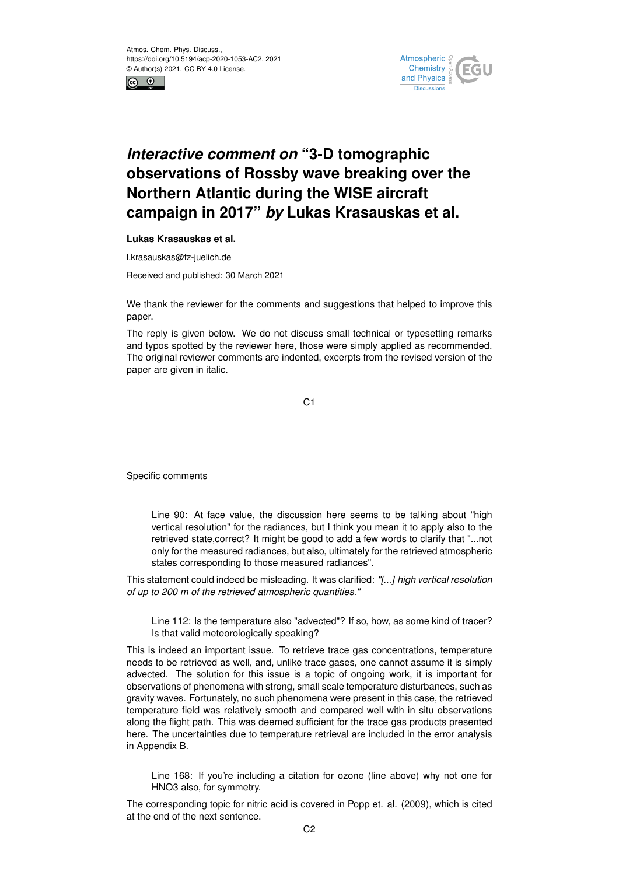



## *Interactive comment on* **"3-D tomographic observations of Rossby wave breaking over the Northern Atlantic during the WISE aircraft campaign in 2017"** *by* **Lukas Krasauskas et al.**

**Lukas Krasauskas et al.**

l.krasauskas@fz-juelich.de

Received and published: 30 March 2021

We thank the reviewer for the comments and suggestions that helped to improve this paper.

The reply is given below. We do not discuss small technical or typesetting remarks and typos spotted by the reviewer here, those were simply applied as recommended. The original reviewer comments are indented, excerpts from the revised version of the paper are given in italic.

C1

Specific comments

Line 90: At face value, the discussion here seems to be talking about "high vertical resolution" for the radiances, but I think you mean it to apply also to the retrieved state,correct? It might be good to add a few words to clarify that "...not only for the measured radiances, but also, ultimately for the retrieved atmospheric states corresponding to those measured radiances".

This statement could indeed be misleading. It was clarified: *"[...] high vertical resolution of up to 200 m of the retrieved atmospheric quantities."*

Line 112: Is the temperature also "advected"? If so, how, as some kind of tracer? Is that valid meteorologically speaking?

This is indeed an important issue. To retrieve trace gas concentrations, temperature needs to be retrieved as well, and, unlike trace gases, one cannot assume it is simply advected. The solution for this issue is a topic of ongoing work, it is important for observations of phenomena with strong, small scale temperature disturbances, such as gravity waves. Fortunately, no such phenomena were present in this case, the retrieved temperature field was relatively smooth and compared well with in situ observations along the flight path. This was deemed sufficient for the trace gas products presented here. The uncertainties due to temperature retrieval are included in the error analysis in Appendix B.

Line 168: If you're including a citation for ozone (line above) why not one for HNO3 also, for symmetry.

The corresponding topic for nitric acid is covered in Popp et. al. (2009), which is cited at the end of the next sentence.